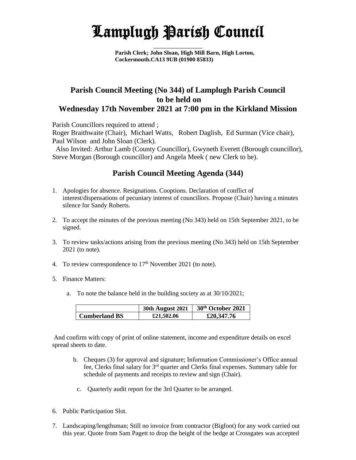## Lamplugh Parish Council

 $\frac{1}{2}$ 

**Parish Clerk; John Sloan, High Mill Barn, High Lorton, Cockermouth.CA13 9UB (01900 85833)**

## **Parish Council Meeting (No 344) of Lamplugh Parish Council to be held on Wednesday 17th November 2021 at 7:00 pm in the Kirkland Mission**

Parish Councillors required to attend ;

Roger Braithwaite (Chair), Michael Watts, Robert Daglish, Ed Surman (Vice chair), Paul Wilson and John Sloan (Clerk).

 Also Invited: Arthur Lamb (County Councillor), Gwyneth Everett (Borough councillor), Steve Morgan (Borough councillor) and Angela Meek ( new Clerk to be).

## **Parish Council Meeting Agenda (344)**

- 1. Apologies for absence. Resignations. Cooptions. Declaration of conflict of interest/dispensations of pecuniary interest of councillors. Propose (Chair) having a minutes silence for Sandy Roberts.
- 2. To accept the minutes of the previous meeting (No 343) held on 15th September 2021, to be signed.
- 3. To review tasks/actions arising from the previous meeting (No 343) held on 15th September 2021 (to note).
- 4. To review correspondence to 17<sup>th</sup> November 2021 (to note).
- 5. Finance Matters:
	- a. To note the balance held in the building society as at 30/10/2021;

|               | <b>30th August 2021</b> | 30 <sup>th</sup> October 2021 |
|---------------|-------------------------|-------------------------------|
| Cumberland BS | £21,502.06              | £20,347.76                    |

And confirm with copy of print of online statement, income and expenditure details on excel spread sheets to date.

- b. Cheques (3) for approval and signature; Information Commissioner's Office annual fee, Clerks final salary for 3rd quarter and Clerks final expenses. Summary table for schedule of payments and receipts to review and sign (Chair).
	- c. Quarterly audit report for the 3rd Quarter to be arranged.
- 6. Public Participation Slot.
- 7. Landscaping/lengthsman; Still no invoice from contractor (Bigfoot) for any work carried out this year. Quote from Sam Pagett to drop the height of the hedge at Crossgates was accepted